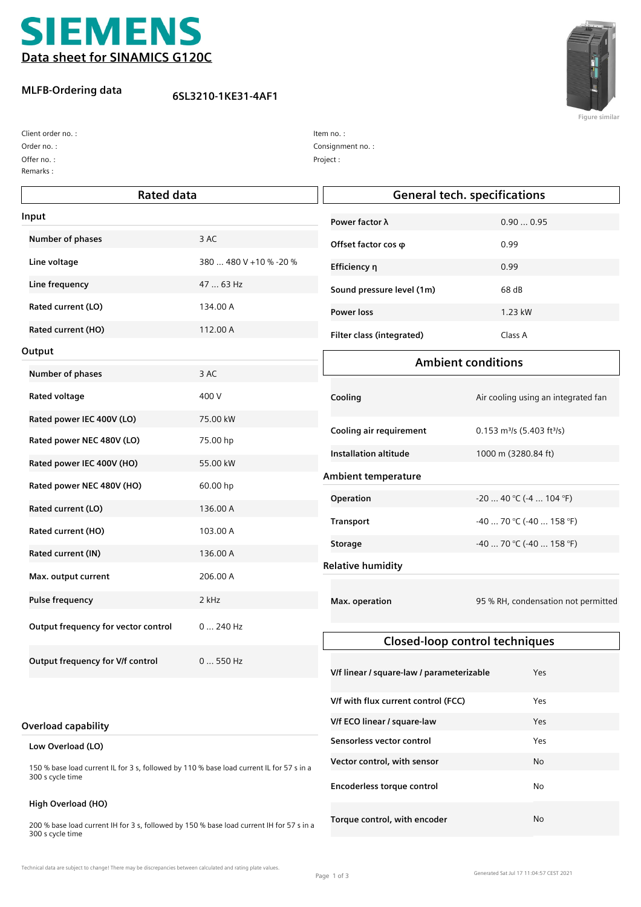

## **MLFB-Ordering data**

**6SL3210-1KE31-4AF1**



**Figure similar**

Remarks : Offer no. : Order no. : Client order no. :

| Item no. :        |
|-------------------|
| Consignment no. : |
| Project:          |

| <b>Rated data</b>                                                                                            |                        | <b>General tech. specifications</b>       |                                                      |
|--------------------------------------------------------------------------------------------------------------|------------------------|-------------------------------------------|------------------------------------------------------|
| Input                                                                                                        |                        | Power factor λ                            | 0.900.95                                             |
| Number of phases                                                                                             | 3 AC                   | Offset factor cos $\varphi$               | 0.99                                                 |
| Line voltage                                                                                                 | 380  480 V +10 % -20 % | Efficiency η                              | 0.99                                                 |
| Line frequency                                                                                               | 47  63 Hz              | Sound pressure level (1m)                 | 68 dB                                                |
| Rated current (LO)                                                                                           | 134.00 A               | <b>Power loss</b>                         | 1.23 kW                                              |
| Rated current (HO)                                                                                           | 112.00 A               | Filter class (integrated)                 | Class A                                              |
| Output                                                                                                       |                        |                                           |                                                      |
| Number of phases                                                                                             | 3 AC                   | <b>Ambient conditions</b>                 |                                                      |
| <b>Rated voltage</b>                                                                                         | 400 V                  | Cooling                                   | Air cooling using an integrated fan                  |
| Rated power IEC 400V (LO)                                                                                    | 75.00 kW               | Cooling air requirement                   | $0.153$ m <sup>3</sup> /s (5.403 ft <sup>3</sup> /s) |
| Rated power NEC 480V (LO)                                                                                    | 75.00 hp               | <b>Installation altitude</b>              | 1000 m (3280.84 ft)                                  |
| Rated power IEC 400V (HO)                                                                                    | 55.00 kW               |                                           |                                                      |
| Rated power NEC 480V (HO)                                                                                    | 60.00 hp               | <b>Ambient temperature</b>                |                                                      |
| Rated current (LO)                                                                                           | 136.00 A               | Operation                                 | $-20$ 40 °C (-4  104 °F)                             |
| Rated current (HO)                                                                                           | 103.00 A               | <b>Transport</b>                          | $-4070$ °C ( $-40158$ °F)                            |
| Rated current (IN)                                                                                           | 136.00 A               | <b>Storage</b>                            | $-40$ 70 °C (-40  158 °F)                            |
| Max. output current                                                                                          | 206.00 A               | <b>Relative humidity</b>                  |                                                      |
| <b>Pulse frequency</b>                                                                                       | 2 kHz                  | Max. operation                            | 95 % RH, condensation not permitted                  |
| Output frequency for vector control                                                                          | $0240$ Hz              |                                           |                                                      |
|                                                                                                              |                        |                                           | <b>Closed-loop control techniques</b>                |
| Output frequency for V/f control                                                                             | 0  550 Hz              | V/f linear / square-law / parameterizable | Yes                                                  |
|                                                                                                              |                        | V/f with flux current control (FCC)       | Yes                                                  |
| <b>Overload capability</b>                                                                                   |                        | V/f ECO linear / square-law               | Yes                                                  |
| Low Overload (LO)                                                                                            |                        | Sensorless vector control                 | Yes                                                  |
| 150 % base load current IL for 3 s, followed by 110 % base load current IL for 57 s in a<br>300 s cycle time |                        | Vector control, with sensor               | No                                                   |
|                                                                                                              |                        | Encoderless torque control                | No                                                   |
| High Overload (HO)                                                                                           |                        | Torque control, with encoder              | No                                                   |

200 % base load current IH for 3 s, followed by 150 % base load current IH for 57 s in a 300 s cycle time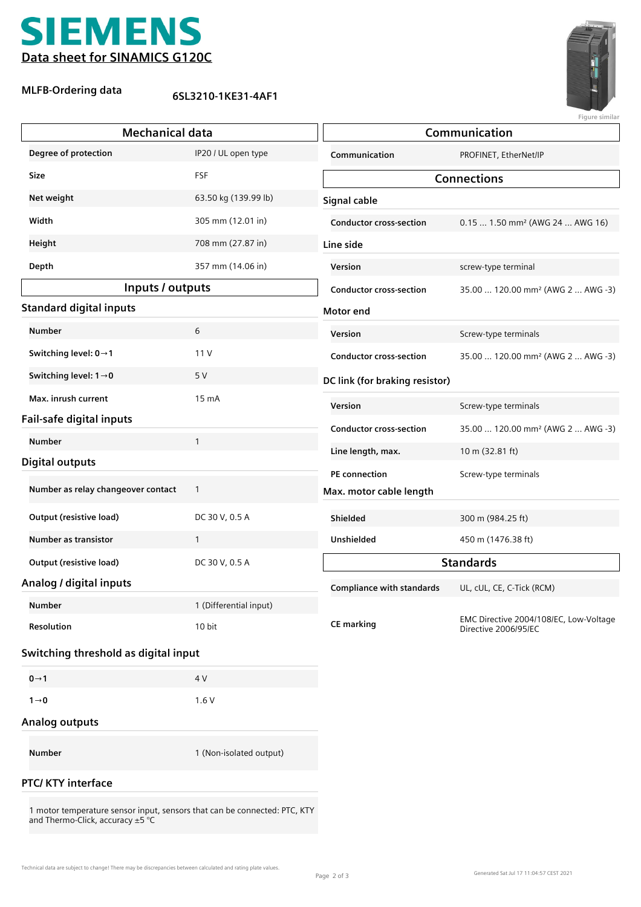

## **MLFB-Ordering data**

**6SL3210-1KE31-4AF1**



**Figure similar**

| <b>Mechanical data</b>               |                         | Communication                    |                                                                |
|--------------------------------------|-------------------------|----------------------------------|----------------------------------------------------------------|
| Degree of protection                 | IP20 / UL open type     | Communication                    | PROFINET, EtherNet/IP                                          |
| Size                                 | FSF                     | <b>Connections</b>               |                                                                |
| Net weight                           | 63.50 kg (139.99 lb)    | Signal cable                     |                                                                |
| Width                                | 305 mm (12.01 in)       | <b>Conductor cross-section</b>   | $0.15 1.50$ mm <sup>2</sup> (AWG 24  AWG 16)                   |
| Height                               | 708 mm (27.87 in)       | Line side                        |                                                                |
| Depth                                | 357 mm (14.06 in)       | Version                          | screw-type terminal                                            |
| Inputs / outputs                     |                         | <b>Conductor cross-section</b>   | 35.00  120.00 mm <sup>2</sup> (AWG 2  AWG -3)                  |
| <b>Standard digital inputs</b>       |                         | Motor end                        |                                                                |
| <b>Number</b>                        | 6                       | Version                          | Screw-type terminals                                           |
| Switching level: $0 \rightarrow 1$   | 11V                     | <b>Conductor cross-section</b>   | 35.00  120.00 mm <sup>2</sup> (AWG 2  AWG -3)                  |
| Switching level: $1\rightarrow 0$    | 5 V                     | DC link (for braking resistor)   |                                                                |
| Max. inrush current                  | 15 mA                   | Version                          | Screw-type terminals                                           |
| Fail-safe digital inputs             |                         | <b>Conductor cross-section</b>   | 35.00  120.00 mm <sup>2</sup> (AWG 2  AWG -3)                  |
| <b>Number</b>                        | $\mathbf{1}$            | Line length, max.                | 10 m (32.81 ft)                                                |
| <b>Digital outputs</b>               |                         | PE connection                    | Screw-type terminals                                           |
| Number as relay changeover contact   | $\mathbf{1}$            | Max. motor cable length          |                                                                |
| <b>Output (resistive load)</b>       | DC 30 V, 0.5 A          | Shielded                         | 300 m (984.25 ft)                                              |
| <b>Number as transistor</b>          | $\mathbf{1}$            | Unshielded                       | 450 m (1476.38 ft)                                             |
| <b>Output (resistive load)</b>       | DC 30 V, 0.5 A          | <b>Standards</b>                 |                                                                |
| Analog / digital inputs              |                         | <b>Compliance with standards</b> | UL, cUL, CE, C-Tick (RCM)                                      |
| Number                               | 1 (Differential input)  |                                  |                                                                |
| Resolution                           | 10 bit                  | <b>CE marking</b>                | EMC Directive 2004/108/EC, Low-Voltage<br>Directive 2006/95/EC |
| Switching threshold as digital input |                         |                                  |                                                                |
| $0 \rightarrow 1$                    | 4 V                     |                                  |                                                                |
| $1\rightarrow 0$                     | 1.6V                    |                                  |                                                                |
| <b>Analog outputs</b>                |                         |                                  |                                                                |
| Number                               | 1 (Non-isolated output) |                                  |                                                                |
| <b>PTC/ KTY interface</b>            |                         |                                  |                                                                |

1 motor temperature sensor input, sensors that can be connected: PTC, KTY and Thermo-Click, accuracy ±5 °C